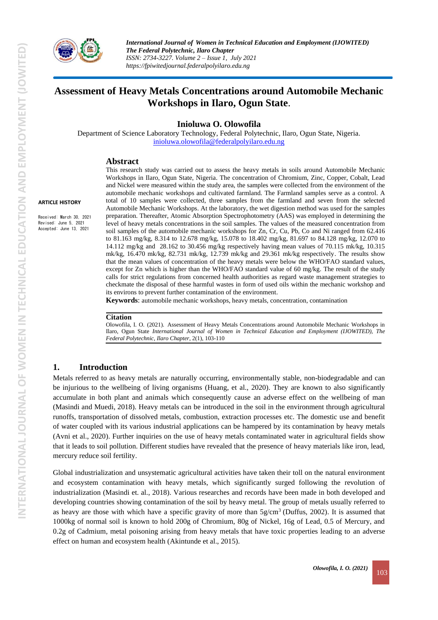

# **Assessment of Heavy Metals Concentrations around Automobile Mechanic Workshops in Ilaro, Ogun State**.

**Inioluwa O. Olowofila**

Department of Science Laboratory Technology, Federal Polytechnic, Ilaro, Ogun State, Nigeria. [inioluwa.olowofila@federalpolyilaro.edu.ng](mailto:inioluwa.olowofila@federalpolyilaro.edu.ng)

#### **Abstract**

**ARTICLE HISTORY**

Received: March 30, 2021 Revised: June 5, 2021 Accepted: June 13, 2021

This research study was carried out to assess the heavy metals in soils around Automobile Mechanic Workshops in Ilaro, Ogun State, Nigeria. The concentration of Chromium, Zinc, Copper, Cobalt, Lead and Nickel were measured within the study area, the samples were collected from the environment of the automobile mechanic workshops and cultivated farmland. The Farmland samples serve as a control. A total of 10 samples were collected, three samples from the farmland and seven from the selected Automobile Mechanic Workshops. At the laboratory, the wet digestion method was used for the samples preparation. Thereafter, Atomic Absorption Spectrophotometry (AAS) was employed in determining the level of heavy metals concentrations in the soil samples. The values of the measured concentration from soil samples of the automobile mechanic workshops for Zn, Cr, Cu, Pb, Co and Ni ranged from 62.416 to 81.163 mg/kg, 8.314 to 12.678 mg/kg, 15.078 to 18.402 mg/kg, 81.697 to 84.128 mg/kg, 12.070 to 14.112 mg/kg and 28.162 to 30.456 mg/kg respectively having mean values of 70.115 mk/kg, 10.315 mk/kg, 16.470 mk/kg, 82.731 mk/kg, 12.739 mk/kg and 29.361 mk/kg respectively. The results show that the mean values of concentration of the heavy metals were below the WHO/FAO standard values, except for Zn which is higher than the WHO/FAO standard value of 60 mg/kg. The result of the study calls for strict regulations from concerned health authorities as regard waste management strategies to checkmate the disposal of these harmful wastes in form of used oils within the mechanic workshop and its environs to prevent further contamination of the environment.

**Keywords**: automobile mechanic workshops, heavy metals, concentration, contamination

#### **Citation**

Olowofila, I. O. (2021). Assessment of Heavy Metals Concentrations around Automobile Mechanic Workshops in Ilaro, Ogun State *International Journal of Women in Technical Education and Employment (IJOWITED), The Federal Polytechnic, Ilaro Chapter*, 2(1), 103-110

### **1. Introduction**

Metals referred to as heavy metals are naturally occurring, environmentally stable, non-biodegradable and can be injurious to the wellbeing of living organisms (Huang, et al., 2020). They are known to also significantly accumulate in both plant and animals which consequently cause an adverse effect on the wellbeing of man (Masindi and Muedi, 2018). Heavy metals can be introduced in the soil in the environment through agricultural runoffs, transportation of dissolved metals, combustion, extraction processes etc. The domestic use and benefit of water coupled with its various industrial applications can be hampered by its contamination by heavy metals (Avni et al., 2020). Further inquiries on the use of heavy metals contaminated water in agricultural fields show that it leads to soil pollution. Different studies have revealed that the presence of heavy materials like iron, lead, mercury reduce soil fertility.

Global industrialization and unsystematic agricultural activities have taken their toll on the natural environment and ecosystem contamination with heavy metals, which significantly surged following the revolution of industrialization (Masindi et. al., 2018). Various researches and records have been made in both developed and developing countries showing contamination of the soil by heavy metal. The group of metals usually referred to as heavy are those with which have a specific gravity of more than 5g/cm<sup>3</sup> (Duffus, 2002). It is assumed that 1000kg of normal soil is known to hold 200g of Chromium, 80g of Nickel, 16g of Lead, 0.5 of Mercury, and 0.2g of Cadmium, metal poisoning arising from heavy metals that have toxic properties leading to an adverse effect on human and ecosystem health (Akintunde et al., 2015).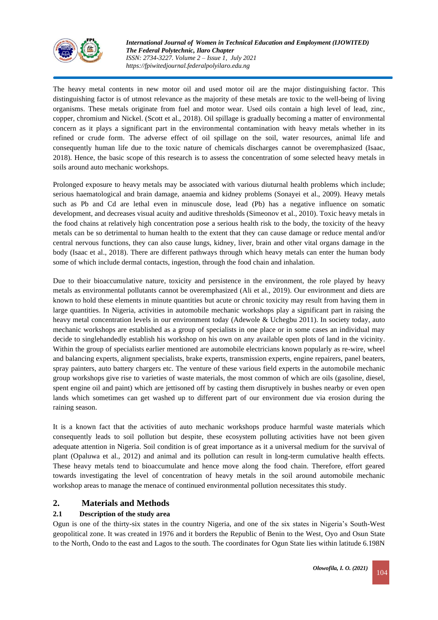

The heavy metal contents in new motor oil and used motor oil are the major distinguishing factor. This distinguishing factor is of utmost relevance as the majority of these metals are toxic to the well-being of living organisms. These metals originate from fuel and motor wear. Used oils contain a high level of lead, zinc, copper, chromium and Nickel. (Scott et al., 2018). Oil spillage is gradually becoming a matter of environmental concern as it plays a significant part in the environmental contamination with heavy metals whether in its refined or crude form. The adverse effect of oil spillage on the soil, water resources, animal life and consequently human life due to the toxic nature of chemicals discharges cannot be overemphasized (Isaac, 2018). Hence, the basic scope of this research is to assess the concentration of some selected heavy metals in soils around auto mechanic workshops.

Prolonged exposure to heavy metals may be associated with various diuturnal health problems which include; serious haematological and brain damage, anaemia and kidney problems (Sonayei et al., 2009). Heavy metals such as Pb and Cd are lethal even in minuscule dose, lead (Pb) has a negative influence on somatic development, and decreases visual acuity and auditive thresholds (Simeonov et al., 2010). Toxic heavy metals in the food chains at relatively high concentration pose a serious health risk to the body, the toxicity of the heavy metals can be so detrimental to human health to the extent that they can cause damage or reduce mental and/or central nervous functions, they can also cause lungs, kidney, liver, brain and other vital organs damage in the body (Isaac et al., 2018). There are different pathways through which heavy metals can enter the human body some of which include dermal contacts, ingestion, through the food chain and inhalation.

Due to their bioaccumulative nature, toxicity and persistence in the environment, the role played by heavy metals as environmental pollutants cannot be overemphasized (Ali et al., 2019). Our environment and diets are known to hold these elements in minute quantities but acute or chronic toxicity may result from having them in large quantities. In Nigeria, activities in automobile mechanic workshops play a significant part in raising the heavy metal concentration levels in our environment today (Adewole & Uchegbu 2011). In society today, auto mechanic workshops are established as a group of specialists in one place or in some cases an individual may decide to singlehandedly establish his workshop on his own on any available open plots of land in the vicinity. Within the group of specialists earlier mentioned are automobile electricians known popularly as re-wire, wheel and balancing experts, alignment specialists, brake experts, transmission experts, engine repairers, panel beaters, spray painters, auto battery chargers etc. The venture of these various field experts in the automobile mechanic group workshops give rise to varieties of waste materials, the most common of which are oils (gasoline, diesel, spent engine oil and paint) which are jettisoned off by casting them disruptively in bushes nearby or even open lands which sometimes can get washed up to different part of our environment due via erosion during the raining season.

It is a known fact that the activities of auto mechanic workshops produce harmful waste materials which consequently leads to soil pollution but despite, these ecosystem polluting activities have not been given adequate attention in Nigeria. Soil condition is of great importance as it a universal medium for the survival of plant (Opaluwa et al., 2012) and animal and its pollution can result in long-term cumulative health effects. These heavy metals tend to bioaccumulate and hence move along the food chain. Therefore, effort geared towards investigating the level of concentration of heavy metals in the soil around automobile mechanic workshop areas to manage the menace of continued environmental pollution necessitates this study.

## **2. Materials and Methods**

## **2.1 Description of the study area**

Ogun is one of the thirty-six states in the country Nigeria, and one of the six states in Nigeria's South-West geopolitical zone. It was created in 1976 and it borders the Republic of Benin to the West, Oyo and Osun State to the North, Ondo to the east and Lagos to the south. The coordinates for Ogun State lies within latitude 6.198N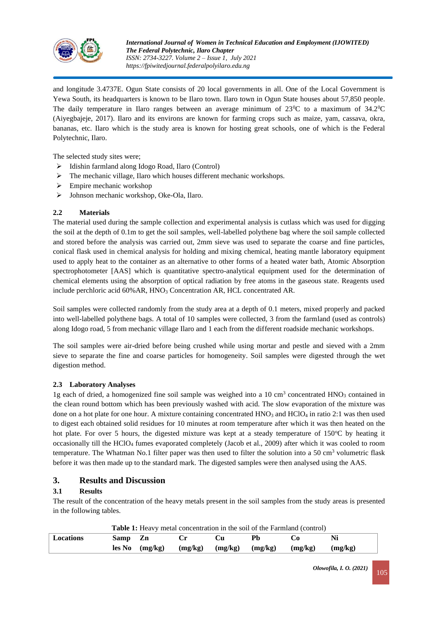

and longitude 3.4737E. Ogun State consists of 20 local governments in all. One of the Local Government is Yewa South, its headquarters is known to be Ilaro town. Ilaro town in Ogun State houses about 57,850 people. The daily temperature in Ilaro ranges between an average minimum of  $23^{\circ}$ C to a maximum of  $34.2^{\circ}$ C (Aiyegbajeje, 2017). Ilaro and its environs are known for farming crops such as maize, yam, cassava, okra, bananas, etc. Ilaro which is the study area is known for hosting great schools, one of which is the Federal Polytechnic, Ilaro.

The selected study sites were;

- ➢ Idishin farmland along Idogo Road, Ilaro (Control)
- ➢ The mechanic village, Ilaro which houses different mechanic workshops.
- ➢ Empire mechanic workshop
- ➢ Johnson mechanic workshop, Oke-Ola, Ilaro.

#### **2.2 Materials**

The material used during the sample collection and experimental analysis is cutlass which was used for digging the soil at the depth of 0.1m to get the soil samples, well-labelled polythene bag where the soil sample collected and stored before the analysis was carried out, 2mm sieve was used to separate the coarse and fine particles, conical flask used in chemical analysis for holding and mixing chemical, heating mantle laboratory equipment used to apply heat to the container as an alternative to other forms of a heated water bath, Atomic Absorption spectrophotometer [AAS] which is quantitative spectro-analytical equipment used for the determination of chemical elements using the absorption of optical radiation by free atoms in the gaseous state. Reagents used include perchloric acid 60% AR, HNO<sub>3</sub> Concentration AR, HCL concentrated AR.

Soil samples were collected randomly from the study area at a depth of 0.1 meters, mixed properly and packed into well-labelled polythene bags. A total of 10 samples were collected, 3 from the farmland (used as controls) along Idogo road, 5 from mechanic village Ilaro and 1 each from the different roadside mechanic workshops.

The soil samples were air-dried before being crushed while using mortar and pestle and sieved with a 2mm sieve to separate the fine and coarse particles for homogeneity. Soil samples were digested through the wet digestion method.

#### **2.3 Laboratory Analyses**

1g each of dried, a homogenized fine soil sample was weighed into a 10 cm<sup>3</sup> concentrated HNO<sub>3</sub> contained in the clean round bottom which has been previously washed with acid. The slow evaporation of the mixture was done on a hot plate for one hour. A mixture containing concentrated HNO<sub>3</sub> and HClO<sub>4</sub> in ratio 2:1 was then used to digest each obtained solid residues for 10 minutes at room temperature after which it was then heated on the hot plate. For over 5 hours, the digested mixture was kept at a steady temperature of  $150^{\circ}$ C by heating it occasionally till the HClO<sup>4</sup> fumes evaporated completely (Jacob et al., 2009) after which it was cooled to room temperature. The Whatman No.1 filter paper was then used to filter the solution into a 50 cm<sup>3</sup> volumetric flask before it was then made up to the standard mark. The digested samples were then analysed using the AAS.

### **3. Results and Discussion**

### **3.1 Results**

The result of the concentration of the heavy metals present in the soil samples from the study areas is presented in the following tables.

|                  | <b>Table 1:</b> Heavy metal concentration in the soil of the Farmland (control) |                    |                               |  |    |         |         |
|------------------|---------------------------------------------------------------------------------|--------------------|-------------------------------|--|----|---------|---------|
| <b>Locations</b> | Samp Zn                                                                         |                    |                               |  | Ph | G. J    |         |
|                  |                                                                                 | $\log N_0$ (mg/kg) | $(mg/kg)$ $(mg/kg)$ $(mg/kg)$ |  |    | (mg/kg) | (mg/kg) |

| Olowofila, I. O. (2021) | 105 |
|-------------------------|-----|
|-------------------------|-----|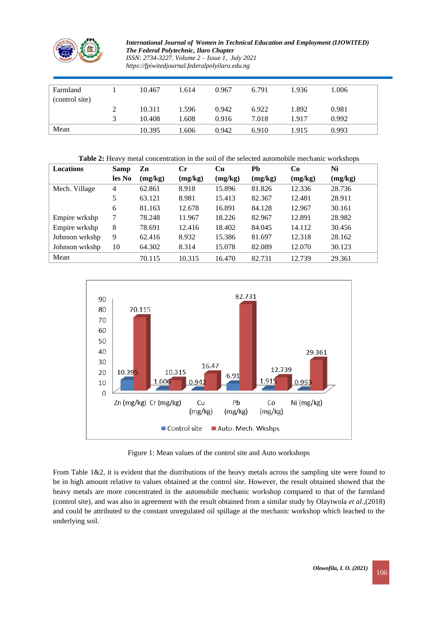

| Farmland       |               | 10.467 | 1.614 | 0.967 | 6.791 | 1.936 | 1.006 |  |
|----------------|---------------|--------|-------|-------|-------|-------|-------|--|
| (control site) |               |        |       |       |       |       |       |  |
|                | ി<br>∠        | 10.311 | 1.596 | 0.942 | 6.922 | 1.892 | 0.981 |  |
|                | $\mathcal{R}$ | 10.408 | 1.608 | 0.916 | 7.018 | 1.917 | 0.992 |  |
| Mean           |               | 10.395 | . 606 | 0.942 | 6.910 | 1.915 | 0.993 |  |

| Table 2: Heavy metal concentration in the soil of the selected automobile mechanic workshops |                |         |         |         |         |         |         |
|----------------------------------------------------------------------------------------------|----------------|---------|---------|---------|---------|---------|---------|
| Locations                                                                                    | Samp           | Zn      | Сr      | Cu      | Pb      | Co      | Ni      |
|                                                                                              | les No         | (mg/kg) | (mg/kg) | (mg/kg) | (mg/kg) | (mg/kg) | (mg/kg) |
| Mech. Village                                                                                | $\overline{4}$ | 62.861  | 8.918   | 15.896  | 81.826  | 12.336  | 28.736  |
|                                                                                              | 5              | 63.121  | 8.981   | 15.413  | 82.367  | 12.481  | 28.911  |
|                                                                                              | 6              | 81.163  | 12.678  | 16.891  | 84.128  | 12.967  | 30.161  |
| Empire wrkshp                                                                                | 7              | 78.248  | 11.967  | 18.226  | 82.967  | 12.891  | 28.982  |
| Empire wrkshp                                                                                | 8              | 78.691  | 12.416  | 18.402  | 84.045  | 14.112  | 30.456  |
| Johnson wrkshp                                                                               | 9              | 62.416  | 8.932   | 15.386  | 81.697  | 12.318  | 28.162  |
| Johnson wrkshp                                                                               | 10             | 64.302  | 8.314   | 15.078  | 82.089  | 12.070  | 30.123  |
| Mean                                                                                         |                | 70.115  | 10.315  | 16.470  | 82.731  | 12.739  | 29.361  |



Figure 1: Mean values of the control site and Auto workshops

From Table 1&2, it is evident that the distributions of the heavy metals across the sampling site were found to be in high amount relative to values obtained at the control site. However, the result obtained showed that the heavy metals are more concentrated in the automobile mechanic workshop compared to that of the farmland (control site), and was also in agreement with the result obtained from a similar study by Olayiwola *et al*.,(2018) and could be attributed to the constant unregulated oil spillage at the mechanic workshop which leached to the underlying soil.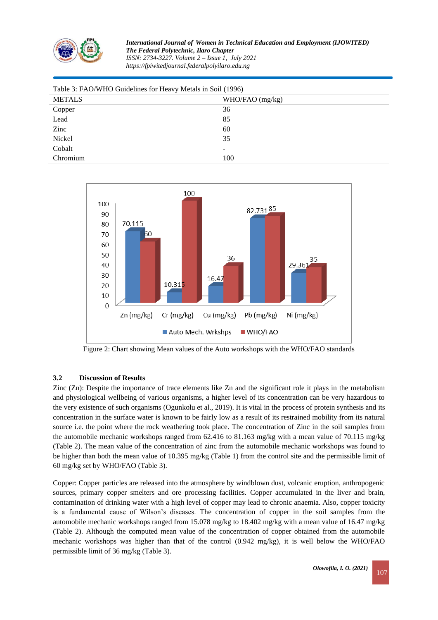

| Table 3: FAO/WHO Guidelines for Heavy Metals in Soil (1996) |                   |  |  |  |
|-------------------------------------------------------------|-------------------|--|--|--|
| <b>METALS</b>                                               | $WHO/FAO$ (mg/kg) |  |  |  |
| Copper                                                      | 36                |  |  |  |
| Lead                                                        | 85                |  |  |  |
| Zinc                                                        | 60                |  |  |  |
| Nickel                                                      | 35                |  |  |  |
| Cobalt                                                      | -                 |  |  |  |
| Chromium                                                    | 100               |  |  |  |



Figure 2: Chart showing Mean values of the Auto workshops with the WHO/FAO standards

### **3.2 Discussion of Results**

Zinc (Zn): Despite the importance of trace elements like Zn and the significant role it plays in the metabolism and physiological wellbeing of various organisms, a higher level of its concentration can be very hazardous to the very existence of such organisms (Ogunkolu et al., 2019). It is vital in the process of protein synthesis and its concentration in the surface water is known to be fairly low as a result of its restrained mobility from its natural source i.e. the point where the rock weathering took place. The concentration of Zinc in the soil samples from the automobile mechanic workshops ranged from 62.416 to 81.163 mg/kg with a mean value of 70.115 mg/kg (Table 2). The mean value of the concentration of zinc from the automobile mechanic workshops was found to be higher than both the mean value of 10.395 mg/kg (Table 1) from the control site and the permissible limit of 60 mg/kg set by WHO/FAO (Table 3).

Copper: Copper particles are released into the atmosphere by windblown dust, volcanic eruption, anthropogenic sources, primary copper smelters and ore processing facilities. Copper accumulated in the liver and brain, contamination of drinking water with a high level of copper may lead to chronic anaemia. Also, copper toxicity is a fundamental cause of Wilson's diseases. The concentration of copper in the soil samples from the automobile mechanic workshops ranged from 15.078 mg/kg to 18.402 mg/kg with a mean value of 16.47 mg/kg (Table 2). Although the computed mean value of the concentration of copper obtained from the automobile mechanic workshops was higher than that of the control (0.942 mg/kg), it is well below the WHO/FAO permissible limit of 36 mg/kg (Table 3).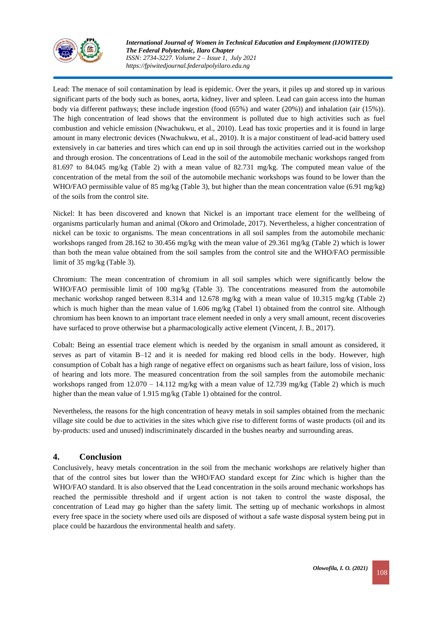

Lead: The menace of soil contamination by lead is epidemic. Over the years, it piles up and stored up in various significant parts of the body such as bones, aorta, kidney, liver and spleen. Lead can gain access into the human body via different pathways; these include ingestion (food (65%) and water (20%)) and inhalation (air (15%)). The high concentration of lead shows that the environment is polluted due to high activities such as fuel combustion and vehicle emission (Nwachukwu, et al., 2010). Lead has toxic properties and it is found in large amount in many electronic devices (Nwachukwu, et al., 2010). It is a major constituent of lead-acid battery used extensively in car batteries and tires which can end up in soil through the activities carried out in the workshop and through erosion. The concentrations of Lead in the soil of the automobile mechanic workshops ranged from 81.697 to 84.045 mg/kg (Table 2) with a mean value of 82.731 mg/kg. The computed mean value of the concentration of the metal from the soil of the automobile mechanic workshops was found to be lower than the WHO/FAO permissible value of 85 mg/kg (Table 3), but higher than the mean concentration value (6.91 mg/kg) of the soils from the control site.

Nickel: It has been discovered and known that Nickel is an important trace element for the wellbeing of organisms particularly human and animal (Okoro and Orimolade, 2017). Nevertheless, a higher concentration of nickel can be toxic to organisms. The mean concentrations in all soil samples from the automobile mechanic workshops ranged from 28.162 to 30.456 mg/kg with the mean value of 29.361 mg/kg (Table 2) which is lower than both the mean value obtained from the soil samples from the control site and the WHO/FAO permissible limit of 35 mg/kg (Table 3).

Chromium: The mean concentration of chromium in all soil samples which were significantly below the WHO/FAO permissible limit of 100 mg/kg (Table 3). The concentrations measured from the automobile mechanic workshop ranged between 8.314 and 12.678 mg/kg with a mean value of 10.315 mg/kg (Table 2) which is much higher than the mean value of 1.606 mg/kg (Tabel 1) obtained from the control site. Although chromium has been known to an important trace element needed in only a very small amount, recent discoveries have surfaced to prove otherwise but a pharmacologically active element (Vincent, J. B., 2017).

Cobalt: Being an essential trace element which is needed by the organism in small amount as considered, it serves as part of vitamin B–12 and it is needed for making red blood cells in the body. However, high consumption of Cobalt has a high range of negative effect on organisms such as heart failure, loss of vision, loss of hearing and lots more. The measured concentration from the soil samples from the automobile mechanic workshops ranged from  $12.070 - 14.112$  mg/kg with a mean value of  $12.739$  mg/kg (Table 2) which is much higher than the mean value of 1.915 mg/kg (Table 1) obtained for the control.

Nevertheless, the reasons for the high concentration of heavy metals in soil samples obtained from the mechanic village site could be due to activities in the sites which give rise to different forms of waste products (oil and its by-products: used and unused) indiscriminately discarded in the bushes nearby and surrounding areas.

## **4. Conclusion**

Conclusively, heavy metals concentration in the soil from the mechanic workshops are relatively higher than that of the control sites but lower than the WHO/FAO standard except for Zinc which is higher than the WHO/FAO standard. It is also observed that the Lead concentration in the soils around mechanic workshops has reached the permissible threshold and if urgent action is not taken to control the waste disposal, the concentration of Lead may go higher than the safety limit. The setting up of mechanic workshops in almost every free space in the society where used oils are disposed of without a safe waste disposal system being put in place could be hazardous the environmental health and safety.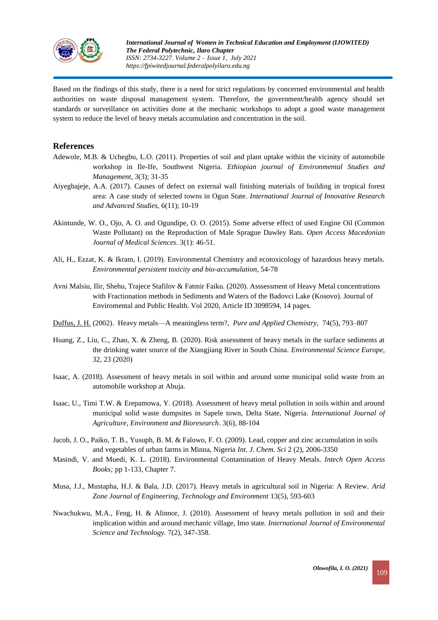

Based on the findings of this study, there is a need for strict regulations by concerned environmental and health authorities on waste disposal management system. Therefore, the government/health agency should set standards or surveillance on activities done at the mechanic workshops to adopt a good waste management system to reduce the level of heavy metals accumulation and concentration in the soil.

## **References**

- Adewole, M.B. & Uchegbu, L.O. (2011). Properties of soil and plant uptake within the vicinity of automobile workshop in Ile-Ife, Southwest Nigeria. *Ethiopian journal of Environmental Studies and Management,* 3(3); 31-35
- Aiyegbajeje, A.A. (2017). Causes of defect on external wall finishing materials of building in tropical forest area: A case study of selected towns in Ogun State. *International Journal of Innovative Research and Advanced Studies*, 6(11); 10-19
- Akintunde, W. O., Ojo, A. O. and Ogundipe, O. O. (2015). Some adverse effect of used Engine Oil (Common Waste Pollutant) on the Reproduction of Male Sprague Dawley Rats. *Open Access Macedonian Journal of Medical Sciences*. 3(1): 46-51.
- Ali, H., Ezzat, K. & Ikram, I. (2019). Environmental Chemistry and ecotoxicology of hazardous heavy metals. *Environmental persistent toxicity and bio-accumulation*, 54-78
- Avni Malsiu, Ilir, Shehu, Trajece Stafilov & Fatmir Faiku. (2020). Asssessment of Heavy Metal concentrations with Fractionation methods in Sediments and Waters of the Badovci Lake (Kosovo). Journal of Enviromental and Public Health. Vol 2020, Article ID 3098594, 14 pages.
- [Duffus, J. H.](http://www.duffus.com/jhduffus1940.htm) (2002). [Heavy metals—A meaningless term?,](http://www.iupac.org/publications/pac/2002/pdf/7405x0793.pdf) *[Pure and Applied Chemistry](https://en.wikipedia.org/wiki/Pure_and_Applied_Chemistry)*, 74(5), 793–807
- Huang, Z., Liu, C., Zhao, X. & Zheng, B. (2020). Risk assessment of heavy metals in the surface sediments at the drinking water source of the Xiangjiang River in South China. *Environmental Science Europe,*  32, 23 (2020)
- Isaac, A. (2018). Assessment of heavy metals in soil within and around some municipal solid waste from an automobile workshop at Abuja.
- Isaac, U., Timi T.W. & Erepamowa, Y. (2018). Assessment of heavy metal pollution in soils within and around municipal solid waste dumpsites in Sapele town, Delta State, Nigeria. *International Journal of Agriculture, Environment and Bioresearch*. 3(6), 88-104
- Jacob, J. O., Paiko, T. B., Yusuph, B. M. & Falowo, F. O. (2009). [Lead, copper and zinc accumulation in soils](javascript:void(0))  [and vegetables of urban farms in Minna, Nigeria](javascript:void(0)) *Int. J. Chem. Sci* 2 (2), 2006-3350
- Masindi, V. and Muedi, K. L. (2018). Environmental Contamination of Heavy Metals. *Intech Open Access Books;* pp 1-133, Chapter 7.
- Musa, J.J., Mustapha, H.J. & Bala, J.D. (2017). Heavy metals in agricultural soil in Nigeria: A Review. *Arid Zone Journal of Engineering, Technology and Environment* 13(5), 593-603
- Nwachukwu, M.A., Feng, H. & Alinnor, J. (2010). Assessment of heavy metals pollution in soil and their implication within and around mechanic village, Imo state. *International Journal of Environmental Science and Technology.* 7(2), 347-358.